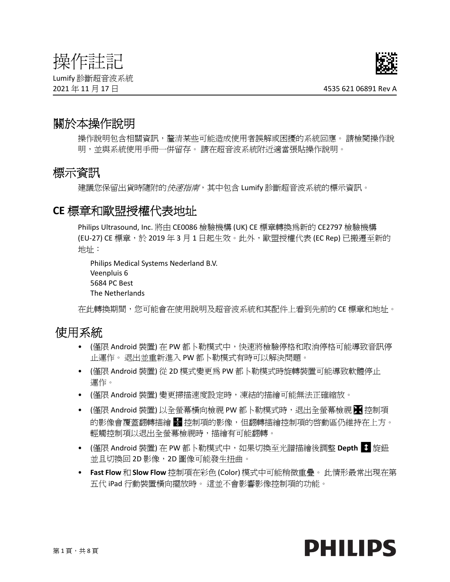# 操作註記

Lumify 診斷超音波系統



## 關於本操作說明

操作說明包含相關資訊,釐清某些可能造成使用者誤解或困擾的系統回應。 請檢閱操作說 明,並與系統使用手冊一併留存。 請在超音波系統附近適當張貼操作說明。

## 標示資訊

建議您保留出貨時隨附的*快速指南*,其中包含 Lumify 診斷超音波系統的標示資訊。

## **CE** 標章和歐盟授權代表地址

Philips Ultrasound, Inc. 將由 CE0086 檢驗機構 (UK) CE 標章轉換為新的 CE2797 檢驗機構 (EU-27) CE 標章,於 2019 年 3 月 1 日起生效。此外,歐盟授權代表 (EC Rep) 已搬遷至新的 地址:

```
Philips Medical Systems Nederland B.V.
Veenpluis 6
5684 PC Best
The Netherlands
```
在此轉換期間,您可能會在使用說明及超音波系統和其配件上看到先前的 CE 標章和地址。

## 使用系統

- (僅限 Android 裝置) 在 PW 都卜勒模式中,快速將檢驗停格和取消停格可能導致音訊停 止運作。 退出並重新進入 PW 都卜勒模式有時可以解決問題。
- (僅限 Android 裝置) 從 2D 模式變更為 PW 都卜勒模式時旋轉裝置可能導致軟體停止 運作。
- (僅限 Android 裝置) 變更掃描速度設定時,凍結的描繪可能無法正確縮放。
- (僅限 Android 裝置) 以全螢幕橫向檢視 PW 都卜勒模式時,退出全螢幕檢視 控制項 的影像會覆蓋翻轉描繪 ■ 控制項的影像,但翻轉描繪控制項的啓動區仍維持在上方。 輕觸控制項以退出全螢幕檢視時,描繪有可能翻轉。
- (僅限 Android 裝置) 在 PW 都卜勒模式中,如果切換至光譜描繪後調整 Depth <sup>1</sup> 旋鈕 並且切換回 2D 影像,2D 圖像可能發生扭曲。
- **Fast Flow** 和 **Slow Flow** 控制項在彩色 (Color) 模式中可能稍微重疊。 此情形最常出現在第 五代 iPad 行動裝置橫向擺放時。 這並不會影響影像控制項的功能。

# **PHILIPS**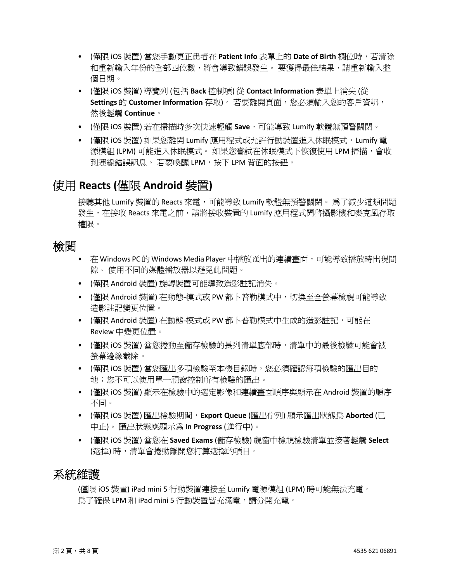- (僅限 iOS 裝置) 當您手動更正患者在 **Patient Info** 表單上的 **Date of Birth** 欄位時,若清除 和重新輸入年份的全部四位數,將會導致錯誤發生。 要獲得最佳結果,請重新輸入整 個日期。
- (僅限 iOS 裝置) 導覽列 (包括 **Back** 控制項) 從 **Contact Information** 表單上消失 (從 **Settings** 的 Customer Information 存取)。 若要離開頁面, 您必須輸入您的客戶資訊, 然後輕觸 **Continue**。
- (僅限 iOS 裝置) 若在掃描時多次快速輕觸 **Save**,可能導致 Lumify 軟體無預警關閉。
- (僅限 iOS 裝置) 如果您離開 Lumify 應用程式或允許行動裝置進入休眠模式,Lumify 電 源模組 (LPM) 可能進入休眠模式。 如果您嘗試在休眠模式下恢復使用 LPM 掃描,會收 到連線錯誤訊息。 若要喚醒 LPM,按下 LPM 背面的按鈕。

## 使用 **Reacts (**僅限 **Android** 裝置**)**

接聽其他 Lumify 裝置的 Reacts 來電,可能導致 Lumify 軟體無預警關閉。 為了減少這類問題 發生,在接收 Reacts 來雷之前,請將接收裝置的 Lumify 應用程式開啓攝影機和麥克風存取 權限。

## 檢閱

- 在 Windows PC 的 Windows Media Player 中播放匯出的連續畫面,可能導致播放時出現間 隙。 使用不同的媒體播放器以避免此問題。
- (僅限 Android 裝置) 旋轉裝置可能導致造影註記消失。
- (僅限 Android 裝置) 在動態-模式或 PW 都卜普勒模式中, 切換至全螢幕檢視可能導致 造影註記變更位置。
- (僅限 Android 裝置) 在動態-模式或 PW 都卜普勒模式中生成的造影註記,可能在 Review 中變更位置。
- (僅限 iOS 裝置) 當您捲動至儲存檢驗的長列清單底部時,清單中的最後檢驗可能會被 螢幕邊緣截除。
- (僅限 iOS 裝置) 當您匯出多項檢驗至本機目錄時,您必須確認每項檢驗的匯出目的 地;您不可以使用單一視窗控制所有檢驗的匯出。
- (僅限 iOS 裝置) 顯示在檢驗中的選定影像和連續畫面順序與顯示在 Android 裝置的順序 不同。
- (僅限 iOS 裝置) 匯出檢驗期間,**Export Queue** (匯出佇列) 顯示匯出狀態為 **Aborted** (已 中止)。 匯出狀態應顯示為 **In Progress** (進行中)。
- (僅限 iOS 裝置) 當您在 **Saved Exams** (儲存檢驗) 視窗中檢視檢驗清單並接著輕觸 **Select** (選擇) 時,清單會捲動離開您打算選擇的項目。

## 系統維護

(僅限 iOS 裝置) iPad mini 5 行動裝置連接至 Lumify 電源模組 (LPM) 時可能無法充電。 爲了確保 LPM 和 iPad mini 5 行動裝置皆充滿電,請分開充電。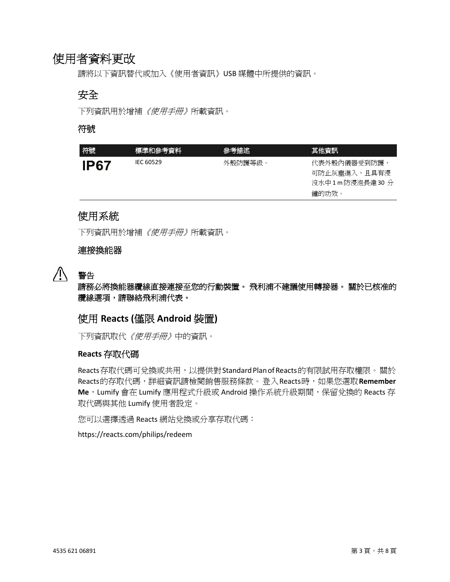## 使用者資料更改

請將以下資訊替代或加入《使用者資訊》USB 媒體中所提供的資訊。

## 安全

下列資訊用於增補《使用手冊》所載資訊。

#### 符號

| 符號<br>標準和參考資料<br>參考描述               | 其他資訊                                                    |
|-------------------------------------|---------------------------------------------------------|
| IEC 60529<br>外殼防護等級。<br><b>IP67</b> | 代表外殼内儀器受到防護,<br>可防止灰塵淮入,且具有浸<br>沒水中1m防浸泡長達30 分<br>鐘的功效。 |

## 使用系統

下列資訊用於增補《使用手冊》所載資訊。

#### 連接換能器



## 警告

請務必將換能器纜線直接連接至您的行動裝置。 飛利浦不建議使用轉接器。 關於已核准的 纜線選項,請聯絡飛利浦代表。

## 使用 **Reacts (**僅限 **Android** 裝置**)**

下列資訊取代《使用手冊》中的資訊。

#### **Reacts** 存取代碼

Reacts 存取代碼可兌換或共用,以提供對 Standard Plan of Reacts 的有限試用存取權限。關於 Reacts 的存取代碼,詳細資訊請檢閱銷售服務條款。登入 Reacts 時,如果您選取**Remember Me**, Lumify 會在 Lumify 應用程式升級或 Android 操作系統升級期間, 保留兌換的 Reacts 存 取代碼與其他 Lumify 使用者設定。

您可以選擇透過 Reacts 網站兌換或分享存取代碼:

https://reacts.com/philips/redeem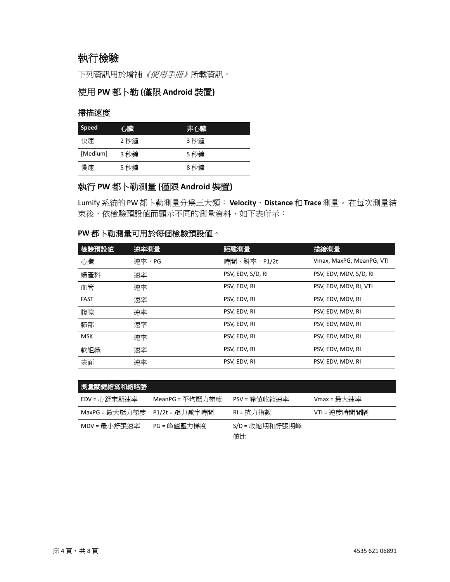## 執行檢驗

下列資訊用於增補《使用手冊》所載資訊。

#### 使用 **PW** 都卜勒 **(**僅限 **Android** 裝置**)**

#### 掃描速度

| <b>Speed</b> | 心臟   | 非心臟  |
|--------------|------|------|
| 快速           | 2 秒鐘 | 3 秒鐘 |
| [Medium]     | 3 秒鐘 | 5 秒鐘 |
| 慢涑           | 5 秒鐘 | 8 秒鐘 |

#### 執行 **PW** 都卜勒測量 **(**僅限 **Android** 裝置**)**

Lumify 系統的 PW 都卜勒測量分為三大類:**Velocity**、**Distance**和**Trace**測量。在每次測量結 束後,依檢驗預設值而顯示不同的測量資料,如下表所示:

#### **PW** 都卜勒測量可用於每個檢驗預設值。

| 檢驗預設値       | 速率測量  | 距離測量              | 描繪測量                     |
|-------------|-------|-------------------|--------------------------|
| 心臟          | 涑率,PG | 時間,斜率,P1/2t       | Vmax, MaxPG, MeanPG, VTI |
| 婦產科         | 速率    | PSV, EDV, S/D, RI | PSV, EDV, MDV, S/D, RI   |
| 血管          | 速率    | PSV, EDV, RI      | PSV, EDV, MDV, RI, VTI   |
| <b>FAST</b> | 速率    | PSV, EDV, RI      | PSV, EDV, MDV, RI        |
| 腹腔          | 速率    | PSV, EDV, RI      | PSV, EDV, MDV, RI        |
| 肺部          | 速率    | PSV, EDV, RI      | PSV, EDV, MDV, RI        |
| <b>MSK</b>  | 速率    | PSV, EDV, RI      | PSV, EDV, MDV, RI        |
| 軟組織         | 速率    | PSV, EDV, RI      | PSV, EDV, MDV, RI        |
| 表面          | 速率    | PSV, EDV, RI      | PSV, EDV, MDV, RI        |

| 測量關鍵縮寫和縮略語     |                 |                      |              |
|----------------|-----------------|----------------------|--------------|
| EDV = 心舒末期速率   | MeanPG = 平均壓力梯度 | PSV = 峰値收縮速率         | Vmax = 最大速率  |
| MaxPG = 最大壓力梯度 | P1/2t = 壓力減半時間  | RI = 抗力指數            | VTI = 速度時間間隔 |
| MDV = 最小舒張速率   | PG = 峰値壓力梯度     | S/D = 收縮期和舒張期峰<br>値比 |              |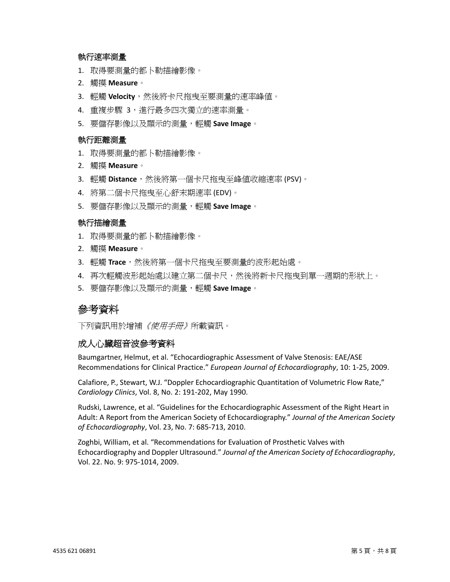#### 執行速率測量

- 1. 取得要測量的都卜勒描繪影像。
- 2. 觸摸 **Measure**。
- 3. 輕觸 Velocity,然後將卡尺拖曳至要測量的速率峰值。
- 4. 重複步驟 3,進行最多四次獨立的速率測量。
- 5. 要儲存影像以及顯示的測量,輕觸 **Save Image**。

#### 執行距離測量

- 1. 取得要測量的都卜勒描繪影像。
- 2. 觸摸 **Measure**。
- 3. 輕觸 Distance,然後將第一個卡尺拖曳至峰值收縮速率 (PSV)。
- 4. 將第二個卡尺拖曳至心舒末期速率 (EDV)。
- 5. 要儲存影像以及顯示的測量,輕觸 **Save Image**。

#### 執行描繪測量

- 1. 取得要測量的都卜勒描繪影像。
- 2. 觸摸 **Measure**。
- 3. 輕觸 Trace,然後將第一個卡尺拖曳至要測量的波形起始處。
- 4. 再次輕觸波形起始處以建立第二個卡尺,然後將新卡尺拖曳到單一週期的形狀上。
- 5. 要儲存影像以及顯示的測量,輕觸 **Save Image**。

### 參考資料

下列資訊用於增補*《使用手冊》*所載資訊。

#### 成人心臟超音波參考資料

Baumgartner, Helmut, et al. "Echocardiographic Assessment of Valve Stenosis: EAE/ASE Recommendations for Clinical Practice." *European Journal of Echocardiography*, 10: 1-25, 2009.

Calafiore, P., Stewart, W.J. "Doppler Echocardiographic Quantitation of Volumetric Flow Rate," *Cardiology Clinics*, Vol. 8, No. 2: 191-202, May 1990.

Rudski, Lawrence, et al. "Guidelines for the Echocardiographic Assessment of the Right Heart in Adult: A Report from the American Society of Echocardiography." *Journal of the American Society of Echocardiography*, Vol. 23, No. 7: 685-713, 2010.

Zoghbi, William, et al. "Recommendations for Evaluation of Prosthetic Valves with Echocardiography and Doppler Ultrasound." *Journal of the American Society of Echocardiography*, Vol. 22. No. 9: 975-1014, 2009.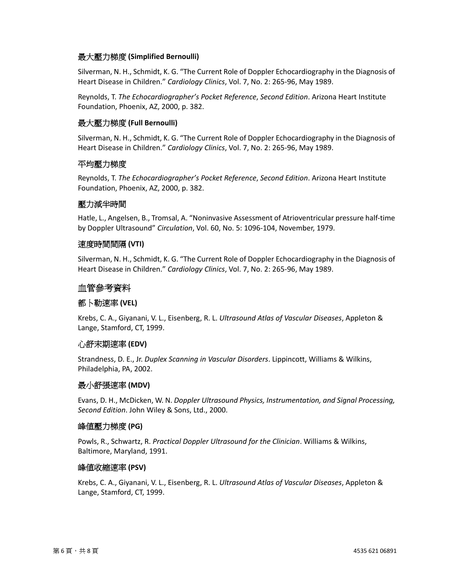#### 最大壓力梯度 **(Simplified Bernoulli)**

Silverman, N. H., Schmidt, K. G. "The Current Role of Doppler Echocardiography in the Diagnosis of Heart Disease in Children." *Cardiology Clinics*, Vol. 7, No. 2: 265-96, May 1989.

Reynolds, T. *The Echocardiographer's Pocket Reference*, *Second Edition*. Arizona Heart Institute Foundation, Phoenix, AZ, 2000, p. 382.

#### 最大壓力梯度 **(Full Bernoulli)**

Silverman, N. H., Schmidt, K. G. "The Current Role of Doppler Echocardiography in the Diagnosis of Heart Disease in Children." *Cardiology Clinics*, Vol. 7, No. 2: 265-96, May 1989.

#### 平均壓力梯度

Reynolds, T. *The Echocardiographer's Pocket Reference*, *Second Edition*. Arizona Heart Institute Foundation, Phoenix, AZ, 2000, p. 382.

#### 壓力減半時間

Hatle, L., Angelsen, B., Tromsal, A. "Noninvasive Assessment of Atrioventricular pressure half-time by Doppler Ultrasound" *Circulation*, Vol. 60, No. 5: 1096-104, November, 1979.

#### 速度時間間隔 **(VTI)**

Silverman, N. H., Schmidt, K. G. "The Current Role of Doppler Echocardiography in the Diagnosis of Heart Disease in Children." *Cardiology Clinics*, Vol. 7, No. 2: 265-96, May 1989.

#### 血管參考資料

#### 都卜勒速率 **(VEL)**

Krebs, C. A., Giyanani, V. L., Eisenberg, R. L. *Ultrasound Atlas of Vascular Diseases*, Appleton & Lange, Stamford, CT, 1999.

#### 心舒末期速率 **(EDV)**

Strandness, D. E., Jr. *Duplex Scanning in Vascular Disorders*. Lippincott, Williams & Wilkins, Philadelphia, PA, 2002.

#### 最小舒張速率 **(MDV)**

Evans, D. H., McDicken, W. N. *Doppler Ultrasound Physics, Instrumentation, and Signal Processing, Second Edition*. John Wiley & Sons, Ltd., 2000.

#### 峰值壓力梯度 **(PG)**

Powls, R., Schwartz, R. *Practical Doppler Ultrasound for the Clinician*. Williams & Wilkins, Baltimore, Maryland, 1991.

#### 峰值收縮速率 **(PSV)**

Krebs, C. A., Giyanani, V. L., Eisenberg, R. L. *Ultrasound Atlas of Vascular Diseases*, Appleton & Lange, Stamford, CT, 1999.